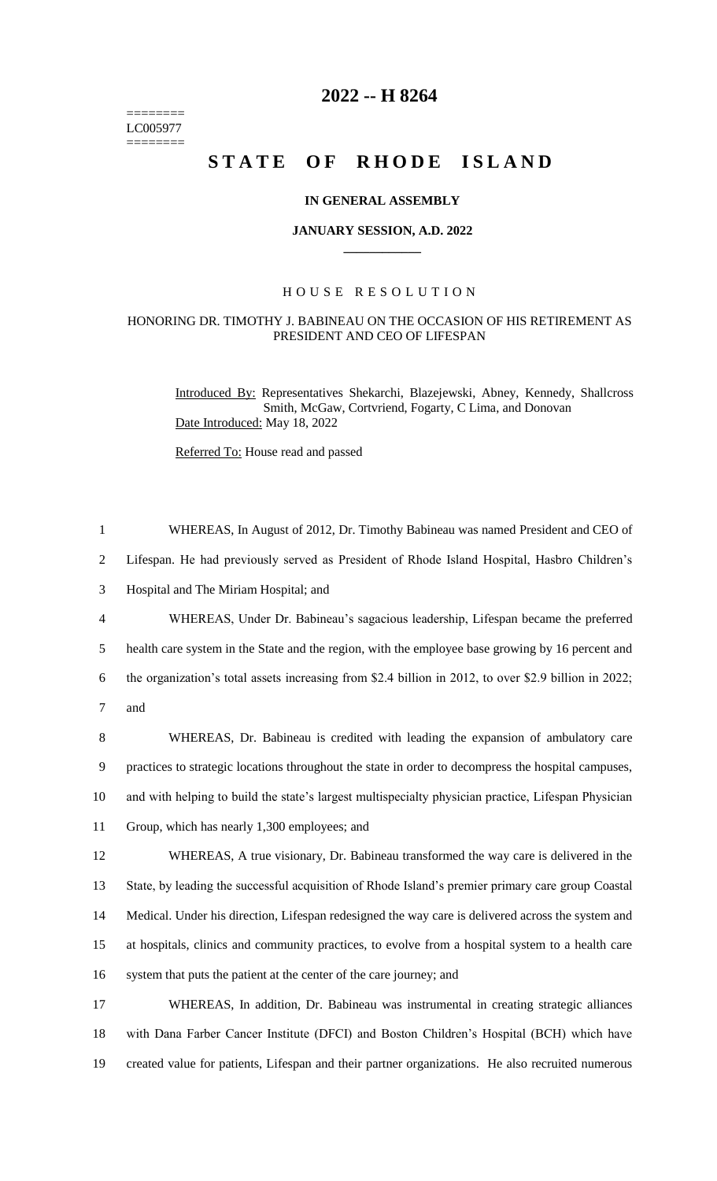======== LC005977  $=$ 

## **2022 -- H 8264**

# **STATE OF RHODE ISLAND**

#### **IN GENERAL ASSEMBLY**

#### **JANUARY SESSION, A.D. 2022 \_\_\_\_\_\_\_\_\_\_\_\_**

### H O U S E R E S O L U T I O N

#### HONORING DR. TIMOTHY J. BABINEAU ON THE OCCASION OF HIS RETIREMENT AS PRESIDENT AND CEO OF LIFESPAN

Introduced By: Representatives Shekarchi, Blazejewski, Abney, Kennedy, Shallcross Smith, McGaw, Cortvriend, Fogarty, C Lima, and Donovan Date Introduced: May 18, 2022

Referred To: House read and passed

| $\mathbf{1}$   | WHEREAS, In August of 2012, Dr. Timothy Babineau was named President and CEO of                       |
|----------------|-------------------------------------------------------------------------------------------------------|
| $\overline{2}$ | Lifespan. He had previously served as President of Rhode Island Hospital, Hasbro Children's           |
| 3              | Hospital and The Miriam Hospital; and                                                                 |
| $\overline{4}$ | WHEREAS, Under Dr. Babineau's sagacious leadership, Lifespan became the preferred                     |
| 5              | health care system in the State and the region, with the employee base growing by 16 percent and      |
| 6              | the organization's total assets increasing from \$2.4 billion in 2012, to over \$2.9 billion in 2022; |
| $\tau$         | and                                                                                                   |
| 8              | WHEREAS, Dr. Babineau is credited with leading the expansion of ambulatory care                       |
| 9              | practices to strategic locations throughout the state in order to decompress the hospital campuses,   |
| 10             | and with helping to build the state's largest multispecialty physician practice, Lifespan Physician   |
| 11             | Group, which has nearly 1,300 employees; and                                                          |
| 12             | WHEREAS, A true visionary, Dr. Babineau transformed the way care is delivered in the                  |
| 13             | State, by leading the successful acquisition of Rhode Island's premier primary care group Coastal     |
| 14             | Medical. Under his direction, Lifespan redesigned the way care is delivered across the system and     |
| 15             | at hospitals, clinics and community practices, to evolve from a hospital system to a health care      |
| 16             | system that puts the patient at the center of the care journey; and                                   |
| 17             | WHEREAS, In addition, Dr. Babineau was instrumental in creating strategic alliances                   |
| 18             | with Dana Farber Cancer Institute (DFCI) and Boston Children's Hospital (BCH) which have              |
| 19             | created value for patients, Lifespan and their partner organizations. He also recruited numerous      |